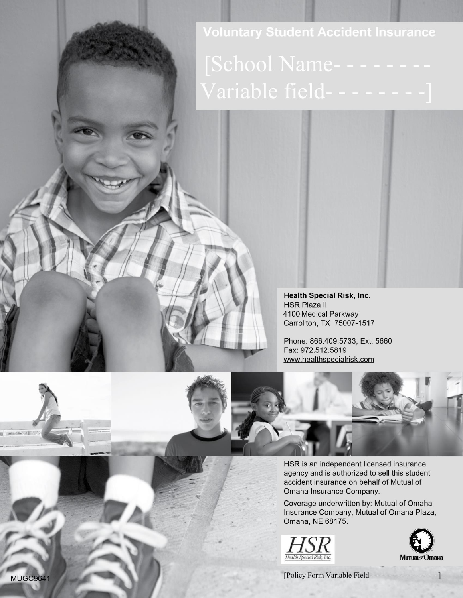**Voluntary Student Accident Insurance** 

**Health Special Risk, Inc. HSR Plaza II** 4100 Medical Parkway Carrollton, TX 75007-1517

Phone: 866.409.5733, Ext. 5660 Fax: 972.512.5819 www.healthspecialrisk.com



HSR is an independent licensed insurance agency and is authorized to sell this student accident insurance on behalf of Mutual of Omaha Insurance Company.

Coverage underwritten by: Mutual of Omaha Insurance Company, Mutual of Omaha Plaza, Omaha, NE 68175.





[Policy Form Variable Field - - - - - - - - - - - - - $-1$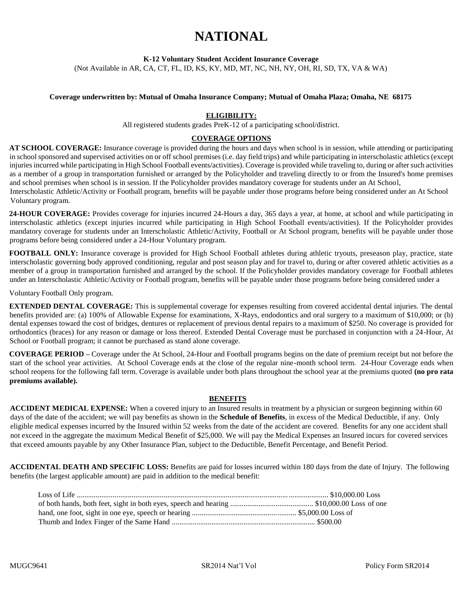# **NATIONAL**

**K-12 Voluntary Student Accident Insurance Coverage** 

(Not Available in AR, CA, CT, FL, ID, KS, KY, MD, MT, NC, NH, NY, OH, RI, SD, TX, VA & WA)

#### **Coverage underwritten by: Mutual of Omaha Insurance Company; Mutual of Omaha Plaza; Omaha, NE 68175**

#### **ELIGIBILITY:**

All registered students grades PreK-12 of a participating school/district.

#### **COVERAGE OPTIONS**

**AT SCHOOL COVERAGE:** Insurance coverage is provided during the hours and days when school is in session, while attending or participating in school sponsored and supervised activities on or off school premises (i.e. day field trips) and while participating in interscholastic athletics (except injuries incurred while participating in High School Football events/activities). Coverage is provided while traveling to, during or after such activities as a member of a group in transportation furnished or arranged by the Policyholder and traveling directly to or from the Insured's home premises and school premises when school is in session. If the Policyholder provides mandatory coverage for students under an At School,

Interscholastic Athletic/Activity or Football program, benefits will be payable under those programs before being considered under an At School Voluntary program.

**24-HOUR COVERAGE:** Provides coverage for injuries incurred 24-Hours a day, 365 days a year, at home, at school and while participating in interscholastic athletics (except injuries incurred while participating in High School Football events/activities). If the Policyholder provides mandatory coverage for students under an Interscholastic Athletic/Activity, Football or At School program, benefits will be payable under those programs before being considered under a 24-Hour Voluntary program.

FOOTBALL ONLY: Insurance coverage is provided for High School Football athletes during athletic tryouts, preseason play, practice, state interscholastic governing body approved conditioning, regular and post season play and for travel to, during or after covered athletic activities as a member of a group in transportation furnished and arranged by the school. If the Policyholder provides mandatory coverage for Football athletes under an Interscholastic Athletic/Activity or Football program, benefits will be payable under those programs before being considered under a

Voluntary Football Only program.

**EXTENDED DENTAL COVERAGE:** This is supplemental coverage for expenses resulting from covered accidental dental injuries. The dental benefits provided are: (a) 100% of Allowable Expense for examinations, X-Rays, endodontics and oral surgery to a maximum of \$10,000; or (b) dental expenses toward the cost of bridges, dentures or replacement of previous dental repairs to a maximum of \$250. No coverage is provided for orthodontics (braces) for any reason or damage or loss thereof. Extended Dental Coverage must be purchased in conjunction with a 24-Hour, At School or Football program; it cannot be purchased as stand alone coverage.

**COVERAGE PERIOD –** Coverage under the At School, 24-Hour and Football programs begins on the date of premium receipt but not before the start of the school year activities. At School Coverage ends at the close of the regular nine-month school term. 24-Hour Coverage ends when school reopens for the following fall term. Coverage is available under both plans throughout the school year at the premiums quoted **(no pro rata premiums available).**

#### **BENEFITS**

**ACCIDENT MEDICAL EXPENSE:** When a covered injury to an Insured results in treatment by a physician or surgeon beginning within 60 days of the date of the accident; we will pay benefits as shown in the **Schedule of Benefits**, in excess of the Medical Deductible, if any. Only eligible medical expenses incurred by the Insured within 52 weeks from the date of the accident are covered. Benefits for any one accident shall not exceed in the aggregate the maximum Medical Benefit of \$25,000. We will pay the Medical Expenses an Insured incurs for covered services that exceed amounts payable by any Other Insurance Plan, subject to the Deductible, Benefit Percentage, and Benefit Period.

**ACCIDENTAL DEATH AND SPECIFIC LOSS:** Benefits are paid for losses incurred within 180 days from the date of Injury. The following benefits (the largest applicable amount) are paid in addition to the medical benefit: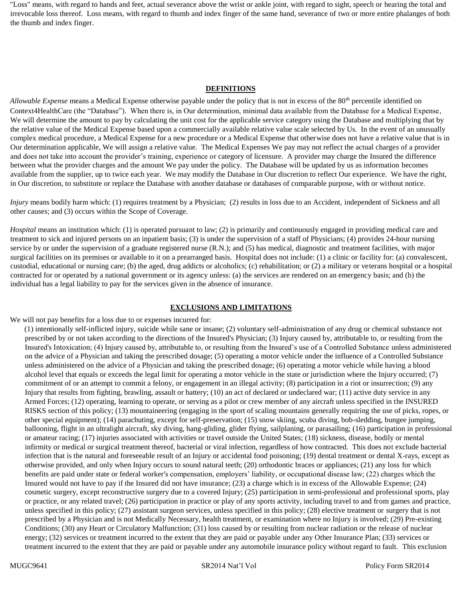"Loss" means, with regard to hands and feet, actual severance above the wrist or ankle joint, with regard to sight, speech or hearing the total and irrevocable loss thereof. Loss means, with regard to thumb and index finger of the same hand, severance of two or more entire phalanges of both the thumb and index finger.

#### **DEFINITIONS**

*Allowable Expense* means a Medical Expense otherwise payable under the policy that is not in excess of the 80<sup>th</sup> percentile identified on Context4HealthCare (the "Database"). When there is, in Our determination, minimal data available from the Database for a Medical Expense, We will determine the amount to pay by calculating the unit cost for the applicable service category using the Database and multiplying that by the relative value of the Medical Expense based upon a commercially available relative value scale selected by Us. In the event of an unusually complex medical procedure, a Medical Expense for a new procedure or a Medical Expense that otherwise does not have a relative value that is in Our determination applicable, We will assign a relative value. The Medical Expenses We pay may not reflect the actual charges of a provider and does not take into account the provider's training, experience or category of licensure. A provider may charge the Insured the difference between what the provider charges and the amount We pay under the policy. The Database will be updated by us as information becomes available from the supplier, up to twice each year. We may modify the Database in Our discretion to reflect Our experience. We have the right, in Our discretion, to substitute or replace the Database with another database or databases of comparable purpose, with or without notice.

*Injury* means bodily harm which: (1) requires treatment by a Physician; (2) results in loss due to an Accident, independent of Sickness and all other causes; and (3) occurs within the Scope of Coverage.

*Hospital* means an institution which: (1) is operated pursuant to law; (2) is primarily and continuously engaged in providing medical care and treatment to sick and injured persons on an inpatient basis; (3) is under the supervision of a staff of Physicians; (4) provides 24-hour nursing service by or under the supervision of a graduate registered nurse (R.N.); and (5) has medical, diagnostic and treatment facilities, with major surgical facilities on its premises or available to it on a prearranged basis. Hospital does not include: (1) a clinic or facility for: (a) convalescent, custodial, educational or nursing care; (b) the aged, drug addicts or alcoholics; (c) rehabilitation; or (2) a military or veterans hospital or a hospital contracted for or operated by a national government or its agency unless: (a) the services are rendered on an emergency basis; and (b) the individual has a legal liability to pay for the services given in the absence of insurance.

#### **EXCLUSIONS AND LIMITATIONS**

We will not pay benefits for a loss due to or expenses incurred for:

(1) intentionally self-inflicted injury, suicide while sane or insane; (2) voluntary self-administration of any drug or chemical substance not prescribed by or not taken according to the directions of the Insured's Physician; (3) Injury caused by, attributable to, or resulting from the Insured's Intoxication; (4) Injury caused by, attributable to, or resulting from the Insured's use of a Controlled Substance unless administered on the advice of a Physician and taking the prescribed dosage; (5) operating a motor vehicle under the influence of a Controlled Substance unless administered on the advice of a Physician and taking the prescribed dosage; (6) operating a motor vehicle while having a blood alcohol level that equals or exceeds the legal limit for operating a motor vehicle in the state or jurisdiction where the Injury occurred; (7) commitment of or an attempt to commit a felony, or engagement in an illegal activity; (8) participation in a riot or insurrection; (9) any Injury that results from fighting, brawling, assault or battery; (10) an act of declared or undeclared war; (11) active duty service in any Armed Forces; (12) operating, learning to operate, or serving as a pilot or crew member of any aircraft unless specified in the INSURED RISKS section of this policy; (13) mountaineering (engaging in the sport of scaling mountains generally requiring the use of picks, ropes, or other special equipment); (14) parachuting, except for self-preservation; (15) snow skiing, scuba diving, bob-sledding, bungee jumping, ballooning, flight in an ultralight aircraft, sky diving, hang-gliding, glider flying, sailplaning, or parasailing; (16) participation in professional or amateur racing; (17) injuries associated with activities or travel outside the United States; (18) sickness, disease, bodily or mental infirmity or medical or surgical treatment thereof, bacterial or viral infection, regardless of how contracted. This does not exclude bacterial infection that is the natural and foreseeable result of an Injury or accidental food poisoning; (19) dental treatment or dental X-rays, except as otherwise provided, and only when Injury occurs to sound natural teeth; (20) orthodontic braces or appliances; (21) any loss for which benefits are paid under state or federal worker's compensation, employers' liability, or occupational disease law; (22) charges which the Insured would not have to pay if the Insured did not have insurance; (23) a charge which is in excess of the Allowable Expense; (24) cosmetic surgery, except reconstructive surgery due to a covered Injury; (25) participation in semi-professional and professional sports, play or practice, or any related travel; (26) participation in practice or play of any sports activity, including travel to and from games and practice, unless specified in this policy; (27) assistant surgeon services, unless specified in this policy; (28) elective treatment or surgery that is not prescribed by a Physician and is not Medically Necessary, health treatment, or examination where no Injury is involved; (29) Pre-existing Conditions; (30) any Heart or Circulatory Malfunction; (31) loss caused by or resulting from nuclear radiation or the release of nuclear energy; (32) services or treatment incurred to the extent that they are paid or payable under any Other Insurance Plan; (33) services or treatment incurred to the extent that they are paid or payable under any automobile insurance policy without regard to fault. This exclusion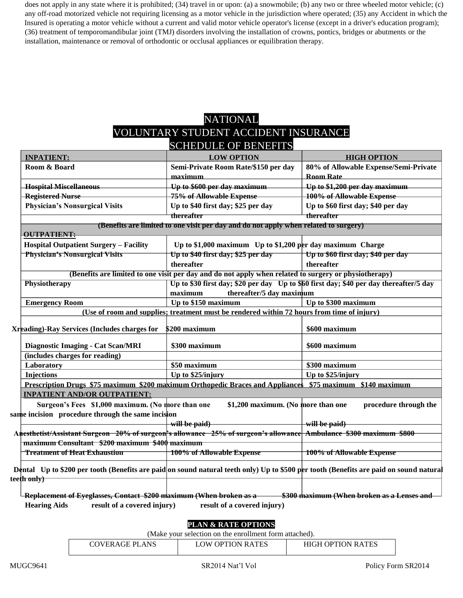does not apply in any state where it is prohibited; (34) travel in or upon: (a) a snowmobile; (b) any two or three wheeled motor vehicle; (c) any off-road motorized vehicle not requiring licensing as a motor vehicle in the jurisdiction where operated; (35) any Accident in which the Insured is operating a motor vehicle without a current and valid motor vehicle operator's license (except in a driver's education program); (36) treatment of temporomandibular joint (TMJ) disorders involving the installation of crowns, pontics, bridges or abutments or the installation, maintenance or removal of orthodontic or occlusal appliances or equilibration therapy.

### NATIONAL

# VOLUNTARY STUDENT ACCIDENT INSURANCE

| <b>SCHEDULE OF BENEFITS</b>                                                                                                            |                                                                                                       |                                                                                        |  |
|----------------------------------------------------------------------------------------------------------------------------------------|-------------------------------------------------------------------------------------------------------|----------------------------------------------------------------------------------------|--|
| <b>INPATIENT:</b>                                                                                                                      | <b>LOW OPTION</b>                                                                                     | <b>HIGH OPTION</b>                                                                     |  |
| Room & Board                                                                                                                           | Semi-Private Room Rate/\$150 per day                                                                  | 80% of Allowable Expense/Semi-Private                                                  |  |
|                                                                                                                                        | maximum                                                                                               | <b>Room Rate</b>                                                                       |  |
| Hospital Miscellaneous                                                                                                                 | Up to \$600 per day maximum                                                                           | Up to \$1,200 per day maximum                                                          |  |
| <b>Registered Nurse</b>                                                                                                                | 75% of Allowable Expense                                                                              | 100% of Allowable Expense                                                              |  |
| <b>Physician's Nonsurgical Visits</b>                                                                                                  | Up to \$40 first day; \$25 per day                                                                    | Up to \$60 first day; \$40 per day                                                     |  |
|                                                                                                                                        | thereafter                                                                                            | thereafter                                                                             |  |
|                                                                                                                                        | (Benefits are limited to one visit per day and do not apply when related to surgery)                  |                                                                                        |  |
| <b>OUTPATIENT:</b>                                                                                                                     |                                                                                                       |                                                                                        |  |
| <b>Hospital Outpatient Surgery - Facility</b>                                                                                          | Up to \$1,000 maximum Up to \$1,200 per day maximum Charge                                            |                                                                                        |  |
| <b>Physician's Nonsurgical Visits</b>                                                                                                  | Up to \$40 first day; \$25 per day                                                                    | Up to \$60 first day; \$40 per day                                                     |  |
|                                                                                                                                        | thereafter                                                                                            | thereafter                                                                             |  |
|                                                                                                                                        | (Benefits are limited to one visit per day and do not apply when related to surgery or physiotherapy) |                                                                                        |  |
| Physiotherapy                                                                                                                          | thereafter/5 day maximum<br>maximum                                                                   | Up to \$30 first day; \$20 per day Up to \$60 first day; \$40 per day thereafter/5 day |  |
| <b>Emergency Room</b>                                                                                                                  | Up to \$150 maximum                                                                                   | Up to \$300 maximum                                                                    |  |
|                                                                                                                                        | (Use of room and supplies; treatment must be rendered within 72 hours from time of injury)            |                                                                                        |  |
| <b>Xreading)-Ray Services (Includes charges for</b>                                                                                    | \$200 maximum                                                                                         | \$600 maximum                                                                          |  |
| <b>Diagnostic Imaging - Cat Scan/MRI</b>                                                                                               | \$300 maximum                                                                                         | \$600 maximum                                                                          |  |
| (includes charges for reading)                                                                                                         |                                                                                                       |                                                                                        |  |
| Laboratory                                                                                                                             | \$50 maximum                                                                                          | \$300 maximum                                                                          |  |
| <b>Injections</b>                                                                                                                      | Up to \$25/injury                                                                                     | Up to \$25/injury                                                                      |  |
| Prescription Drugs \$75 maximum \$200 maximum Orthopedic Braces and Appliances \$75 maximum \$140 maximum                              |                                                                                                       |                                                                                        |  |
| <b>INPATIENT AND/OR OUTPATIENT:</b>                                                                                                    |                                                                                                       |                                                                                        |  |
| Surgeon's Fees \$1,000 maximum. (No more than one                                                                                      | \$1,200 maximum. (No more than one                                                                    | procedure through the                                                                  |  |
| same incision procedure through the same incision                                                                                      |                                                                                                       |                                                                                        |  |
|                                                                                                                                        | will be paid)                                                                                         | will be paid)                                                                          |  |
| Anesthetist/Assistant Surgeon 20% of surgeon's allowance 25% of surgeon's allowance Ambulance \$300 maximum \$800                      |                                                                                                       |                                                                                        |  |
| maximum Consultant \$200 maximum \$400 maximum                                                                                         |                                                                                                       |                                                                                        |  |
| <b>Treatment of Heat Exhaustion</b>                                                                                                    | 100% of Allowable Expense                                                                             | 100% of Allowable Expense                                                              |  |
|                                                                                                                                        |                                                                                                       |                                                                                        |  |
| Dental Up to \$200 per tooth (Benefits are paid on sound natural teeth only) Up to \$500 per tooth (Benefits are paid on sound natural |                                                                                                       |                                                                                        |  |
| teeth only)                                                                                                                            |                                                                                                       |                                                                                        |  |
| <b>Replacement of Eyeglasses, Contact \$200 maximum (When broken as a</b>                                                              |                                                                                                       | \$300 maximum (When broken as a Lenses and                                             |  |

Hearing Aids result of a covered injury) result of a covered injury)

### **PLAN & RATE OPTIONS**

| (Make your selection on the enrollment form attached). |                          |  |  |
|--------------------------------------------------------|--------------------------|--|--|
| <b>COVERAGE PLANS</b>                                  | <b>HIGH OPTION RATES</b> |  |  |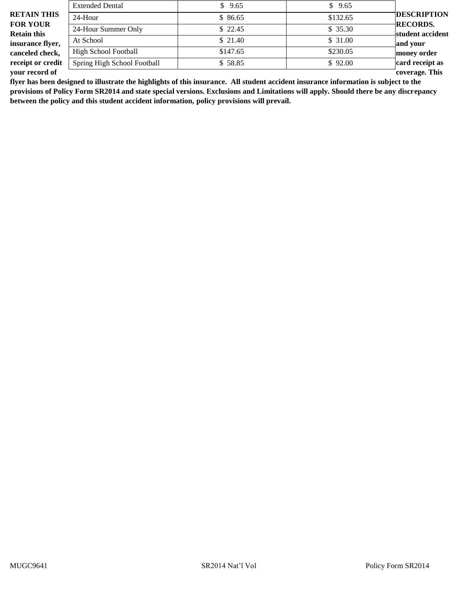|                                       | <b>Extended Dental</b>      | \$9.65   | \$9.65   |                                     |
|---------------------------------------|-----------------------------|----------|----------|-------------------------------------|
| <b>RETAIN THIS</b>                    | 24-Hour                     | \$86.65  | \$132.65 | <b>DESCRIPTION</b>                  |
| <b>FOR YOUR</b><br><b>Retain this</b> | 24-Hour Summer Only         | \$22.45  | \$35.30  | <b>RECORDS.</b><br>student accident |
| insurance flyer,                      | At School                   | \$21.40  | \$31.00  | and your                            |
| canceled check,                       | <b>High School Football</b> | \$147.65 | \$230.05 | money order                         |
| receipt or credit                     | Spring High School Football | \$58.85  | \$92.00  | card receipt as                     |
| your record of                        |                             |          |          | coverage. This                      |

**flyer has been designed to illustrate the highlights of this insurance. All student accident insurance information is subject to the provisions of Policy Form SR2014 and state special versions. Exclusions and Limitations will apply. Should there be any discrepancy between the policy and this student accident information, policy provisions will prevail.**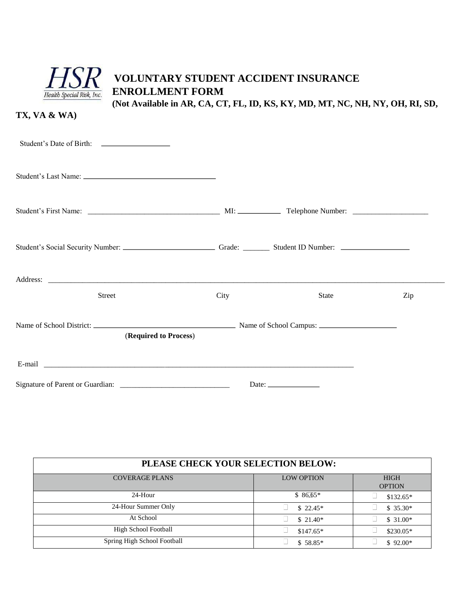

## **VOLUNTARY STUDENT ACCIDENT INSURANCE ENROLLMENT FORM**

**(Not Available in AR, CA, CT, FL, ID, KS, KY, MD, MT, NC, NH, NY, OH, RI, SD,** 

**TX, VA & WA)** 

| <b>Street</b>         | City | <b>State</b>                                                                                                                                                                                                                                                                                                                                                                                                  | Zip |
|-----------------------|------|---------------------------------------------------------------------------------------------------------------------------------------------------------------------------------------------------------------------------------------------------------------------------------------------------------------------------------------------------------------------------------------------------------------|-----|
| (Required to Process) |      |                                                                                                                                                                                                                                                                                                                                                                                                               |     |
|                       |      |                                                                                                                                                                                                                                                                                                                                                                                                               |     |
|                       |      | Date: $\frac{1}{\sqrt{1-\frac{1}{2}}\sqrt{1-\frac{1}{2}}\sqrt{1-\frac{1}{2}}\sqrt{1-\frac{1}{2}}\sqrt{1-\frac{1}{2}}\sqrt{1-\frac{1}{2}}\sqrt{1-\frac{1}{2}}\sqrt{1-\frac{1}{2}}\sqrt{1-\frac{1}{2}}\sqrt{1-\frac{1}{2}}\sqrt{1-\frac{1}{2}}\sqrt{1-\frac{1}{2}}\sqrt{1-\frac{1}{2}}\sqrt{1-\frac{1}{2}}\sqrt{1-\frac{1}{2}}\sqrt{1-\frac{1}{2}}\sqrt{1-\frac{1}{2}}\sqrt{1-\frac{1}{2}}\sqrt{1-\frac{1}{2}}$ |     |

| PLEASE CHECK YOUR SELECTION BELOW: |                   |                              |  |
|------------------------------------|-------------------|------------------------------|--|
| <b>COVERAGE PLANS</b>              | <b>LOW OPTION</b> | <b>HIGH</b><br><b>OPTION</b> |  |
| 24-Hour                            | $$86.65*$         | $$132.65*$                   |  |
| 24-Hour Summer Only                | $$22.45*$         | $$35.30*$                    |  |
| At School                          | $$21.40*$         | $$31.00*$                    |  |
| <b>High School Football</b>        | $$147.65*$        | $$230.05*$                   |  |
| Spring High School Football        | $$58.85*$         | $$92.00*$                    |  |